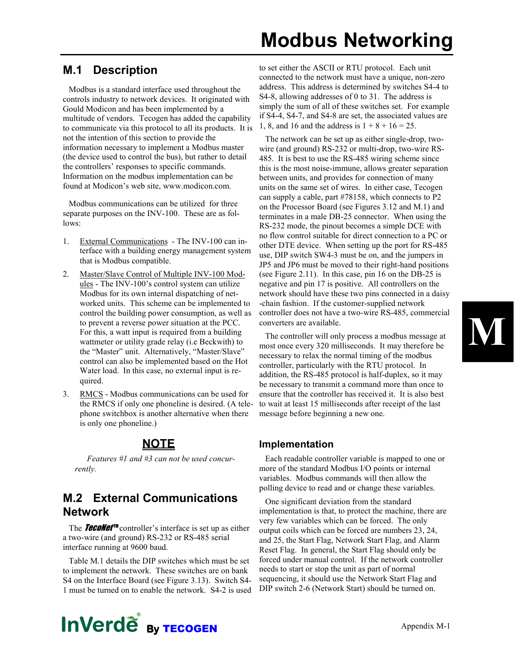## Modbus Networking

#### M.1 Description

Modbus is a standard interface used throughout the controls industry to network devices. It originated with Gould Modicon and has been implemented by a multitude of vendors. Tecogen has added the capability to communicate via this protocol to all its products. It is not the intention of this section to provide the information necessary to implement a Modbus master (the device used to control the bus), but rather to detail the controllers' responses to specific commands. Information on the modbus implementation can be found at Modicon's web site, www.modicon.com.

Modbus communications can be utilized for three separate purposes on the INV-100. These are as follows:

- 1. External Communications The INV-100 can interface with a building energy management system that is Modbus compatible.
- 2. Master/Slave Control of Multiple INV-100 Modules - The INV-100's control system can utilize Modbus for its own internal dispatching of networked units. This scheme can be implemented to control the building power consumption, as well as to prevent a reverse power situation at the PCC. For this, a watt input is required from a building wattmeter or utility grade relay (i.e Beckwith) to the "Master" unit. Alternatively, "Master/Slave" control can also be implemented based on the Hot Water load. In this case, no external input is required.
- 3. RMCS Modbus communications can be used for the RMCS if only one phoneline is desired. (A telephone switchbox is another alternative when there is only one phoneline.)

#### **NOTE**

Features #1 and #3 can not be used concurrently.

#### M.2 External Communications Network

The **TecoNet™** controller's interface is set up as either a two-wire (and ground) RS-232 or RS-485 serial interface running at 9600 baud.

Table M.1 details the DIP switches which must be set to implement the network. These switches are on bank S4 on the Interface Board (see Figure 3.13). Switch S4- 1 must be turned on to enable the network. S4-2 is used to set either the ASCII or RTU protocol. Each unit connected to the network must have a unique, non-zero address. This address is determined by switches S4-4 to S4-8, allowing addresses of 0 to 31. The address is simply the sum of all of these switches set. For example if S4-4, S4-7, and S4-8 are set, the associated values are 1, 8, and 16 and the address is  $1 + 8 + 16 = 25$ .

The network can be set up as either single-drop, twowire (and ground) RS-232 or multi-drop, two-wire RS-485. It is best to use the RS-485 wiring scheme since this is the most noise-immune, allows greater separation between units, and provides for connection of many units on the same set of wires. In either case, Tecogen can supply a cable, part #78158, which connects to P2 on the Processor Board (see Figures 3.12 and M.1) and terminates in a male DB-25 connector. When using the RS-232 mode, the pinout becomes a simple DCE with no flow control suitable for direct connection to a PC or other DTE device. When setting up the port for RS-485 use, DIP switch SW4-3 must be on, and the jumpers in JP5 and JP6 must be moved to their right-hand positions (see Figure 2.11). In this case, pin 16 on the DB-25 is negative and pin 17 is positive. All controllers on the network should have these two pins connected in a daisy -chain fashion. If the customer-supplied network controller does not have a two-wire RS-485, commercial converters are available.

The controller will only process a modbus message at most once every 320 milliseconds. It may therefore be necessary to relax the normal timing of the modbus controller, particularly with the RTU protocol. In addition, the RS-485 protocol is half-duplex, so it may be necessary to transmit a command more than once to ensure that the controller has received it. It is also best to wait at least 15 milliseconds after receipt of the last message before beginning a new one.

#### Implementation

Each readable controller variable is mapped to one or more of the standard Modbus I/O points or internal variables. Modbus commands will then allow the polling device to read and or change these variables.

One significant deviation from the standard implementation is that, to protect the machine, there are very few variables which can be forced. The only output coils which can be forced are numbers 23, 24, and 25, the Start Flag, Network Start Flag, and Alarm Reset Flag. In general, the Start Flag should only be forced under manual control. If the network controller needs to start or stop the unit as part of normal sequencing, it should use the Network Start Flag and DIP switch 2-6 (Network Start) should be turned on.



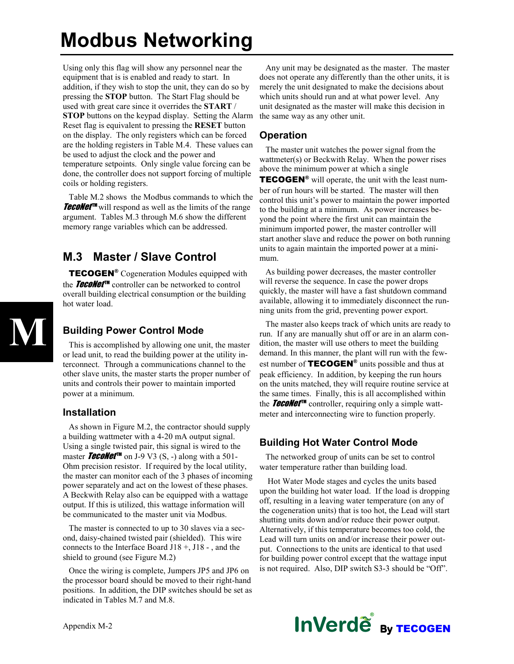## Modbus Networking

Using only this flag will show any personnel near the equipment that is is enabled and ready to start. In addition, if they wish to stop the unit, they can do so by pressing the STOP button. The Start Flag should be used with great care since it overrides the START / STOP buttons on the keypad display. Setting the Alarm Reset flag is equivalent to pressing the RESET button on the display. The only registers which can be forced are the holding registers in Table M.4. These values can be used to adjust the clock and the power and temperature setpoints. Only single value forcing can be done, the controller does not support forcing of multiple coils or holding registers.

Table M.2 shows the Modbus commands to which the **TecoNet**<sup>IM</sup> will respond as well as the limits of the range argument. Tables M.3 through M.6 show the different memory range variables which can be addressed.

#### M.3 Master / Slave Control

TECOGEN<sup>®</sup> Cogeneration Modules equipped with the **TecoNet™** controller can be networked to control overall building electrical consumption or the building hot water load.

# M

#### Building Power Control Mode

This is accomplished by allowing one unit, the master or lead unit, to read the building power at the utility interconnect. Through a communications channel to the other slave units, the master starts the proper number of units and controls their power to maintain imported power at a minimum.

#### Installation

As shown in Figure M.2, the contractor should supply a building wattmeter with a 4-20 mA output signal. Using a single twisted pair, this signal is wired to the master **TecoNet<sup>TM</sup>** on J-9 V3 (S, -) along with a 501-Ohm precision resistor. If required by the local utility, the master can monitor each of the 3 phases of incoming power separately and act on the lowest of these phases. A Beckwith Relay also can be equipped with a wattage output. If this is utilized, this wattage information will be communicated to the master unit via Modbus.

The master is connected to up to 30 slaves via a second, daisy-chained twisted pair (shielded). This wire connects to the Interface Board J18 +, J18 - , and the shield to ground (see Figure M.2)

Once the wiring is complete, Jumpers JP5 and JP6 on the processor board should be moved to their right-hand positions. In addition, the DIP switches should be set as indicated in Tables M.7 and M.8.

Any unit may be designated as the master. The master does not operate any differently than the other units, it is merely the unit designated to make the decisions about which units should run and at what power level. Any unit designated as the master will make this decision in the same way as any other unit.

#### Operation

The master unit watches the power signal from the wattmeter(s) or Beckwith Relay. When the power rises above the minimum power at which a single

TECOGEN<sup>®</sup> will operate, the unit with the least number of run hours will be started. The master will then control this unit's power to maintain the power imported to the building at a minimum. As power increases beyond the point where the first unit can maintain the minimum imported power, the master controller will start another slave and reduce the power on both running units to again maintain the imported power at a minimum.

As building power decreases, the master controller will reverse the sequence. In case the power drops quickly, the master will have a fast shutdown command available, allowing it to immediately disconnect the running units from the grid, preventing power export.

The master also keeps track of which units are ready to run. If any are manually shut off or are in an alarm condition, the master will use others to meet the building demand. In this manner, the plant will run with the fewest number of  $\text{TECOGEN}^{\circledast}$  units possible and thus at peak efficiency. In addition, by keeping the run hours on the units matched, they will require routine service at the same times. Finally, this is all accomplished within the **TecoNet™** controller, requiring only a simple wattmeter and interconnecting wire to function properly.

#### Building Hot Water Control Mode

The networked group of units can be set to control water temperature rather than building load.

 Hot Water Mode stages and cycles the units based upon the building hot water load. If the load is dropping off, resulting in a leaving water temperature (on any of the cogeneration units) that is too hot, the Lead will start shutting units down and/or reduce their power output. Alternatively, if this temperature becomes too cold, the Lead will turn units on and/or increase their power output. Connections to the units are identical to that used for building power control except that the wattage input is not required. Also, DIP switch S3-3 should be "Off".

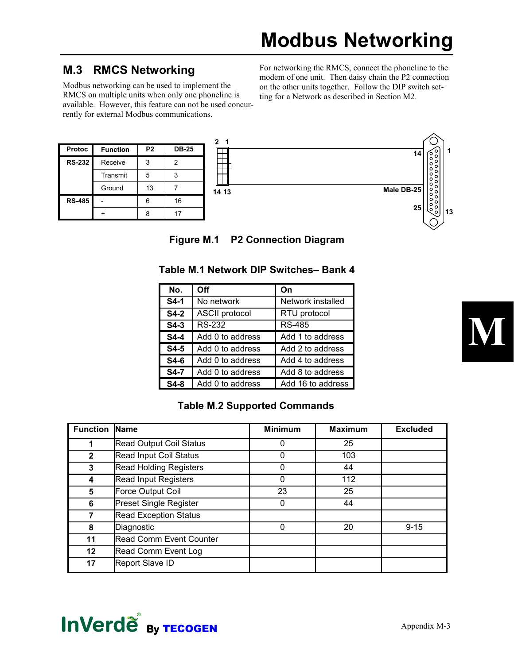#### M.3 RMCS Networking

Modbus networking can be used to implement the RMCS on multiple units when only one phoneline is available. However, this feature can not be used concurrently for external Modbus communications.

For networking the RMCS, connect the phoneline to the modem of one unit. Then daisy chain the P2 connection on the other units together. Follow the DIP switch setting for a Network as described in Section M2.

| <b>Protoc</b> | <b>Function</b> | P <sub>2</sub> | <b>DB-25</b> |  |
|---------------|-----------------|----------------|--------------|--|
| <b>RS-232</b> | Receive         |                | 2            |  |
|               | Transmit        | 5              | 3            |  |
|               | Ground          | 13             |              |  |
| <b>RS-485</b> |                 | ค              | 16           |  |
|               |                 |                |              |  |



Figure M.1 P2 Connection Diagram

| No.         | Off                   | On                |
|-------------|-----------------------|-------------------|
| $S4-1$      | No network            | Network installed |
| $S4-2$      | <b>ASCII protocol</b> | RTU protocol      |
| $S4-3$      | RS-232                | RS-485            |
| <b>S4-4</b> | Add 0 to address      | Add 1 to address  |
| $S4-5$      | Add 0 to address      | Add 2 to address  |
| S4-6        | Add 0 to address      | Add 4 to address  |
| S4-7        | Add 0 to address      | Add 8 to address  |
| $S4-8$      | Add 0 to address      | Add 16 to address |

#### Table M.1 Network DIP Switches– Bank 4

#### Table M.2 Supported Commands

| <b>Function</b> | <b>Name</b>                    | <b>Minimum</b> | <b>Maximum</b> | <b>Excluded</b> |
|-----------------|--------------------------------|----------------|----------------|-----------------|
| 1               | <b>Read Output Coil Status</b> | 0              | 25             |                 |
| $\mathbf{2}$    | Read Input Coil Status         | 0              | 103            |                 |
| 3               | <b>Read Holding Registers</b>  | 0              | 44             |                 |
| 4               | <b>Read Input Registers</b>    | 0              | 112            |                 |
| 5               | Force Output Coil              | 23             | 25             |                 |
| 6               | <b>Preset Single Register</b>  | 0              | 44             |                 |
| 7               | <b>Read Exception Status</b>   |                |                |                 |
| 8               | Diagnostic                     | $\Omega$       | 20             | $9 - 15$        |
| 11              | <b>Read Comm Event Counter</b> |                |                |                 |
| $12 \,$         | Read Comm Event Log            |                |                |                 |
| 17              | <b>Report Slave ID</b>         |                |                |                 |



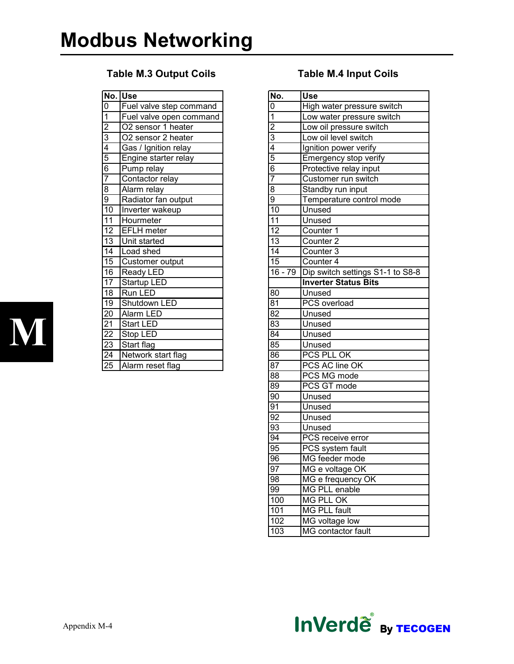#### Table M.3 Output Coils Table M.4 Input Coils

|                 | No. Use                 |
|-----------------|-------------------------|
| $\overline{0}$  | Fuel valve step command |
| $\overline{1}$  | Fuel valve open command |
| $\overline{2}$  | O2 sensor 1 heater      |
| $\overline{3}$  | O2 sensor 2 heater      |
| $\overline{4}$  | Gas / Ignition relay    |
| $\overline{5}$  | Engine starter relay    |
| $\overline{6}$  | Pump relay              |
| 7               | Contactor relay         |
| $\overline{8}$  | Alarm relay             |
| $\overline{9}$  | Radiator fan output     |
| $\overline{10}$ | Inverter wakeup         |
| $\overline{11}$ | Hourmeter               |
| $\overline{12}$ | <b>EFLH</b> meter       |
| $\overline{13}$ | Unit started            |
| $\overline{14}$ | Load shed               |
| $\overline{15}$ | Customer output         |
| 16              | <b>Ready LED</b>        |
| 17              | Startup LED             |
| $\overline{18}$ | Run LED                 |
| 19              | Shutdown LED            |
| $\overline{20}$ | Alarm LED               |
| 21              | <b>Start LED</b>        |
| $\overline{22}$ | Stop LED                |
| $\overline{23}$ | Start flag              |
| $\overline{24}$ | Network start flag      |
| $\overline{25}$ | Alarm reset flag        |
|                 |                         |

| No.                  | <b>Use</b>                       |
|----------------------|----------------------------------|
| 0                    | High water pressure switch       |
| $\overline{1}$       | Low water pressure switch        |
| $\overline{2}$       | Low oil pressure switch          |
| $\overline{3}$       | Low oil level switch             |
| $\frac{4}{5}$        | Ignition power verify            |
|                      | Emergency stop verify            |
| 6                    | Protective relay input           |
| 7                    | Customer run switch              |
| $\overline{8}$       | Standby run input                |
| 9                    | Temperature control mode         |
| $\overline{10}$      | Unused                           |
| $\overline{11}$      | Unused                           |
| $\overline{12}$      | Counter 1                        |
| $\overline{13}$      | Counter <sub>2</sub>             |
| $\overline{14}$      | Counter <sub>3</sub>             |
| $\overline{15}$      | Counter 4                        |
| $\overline{16}$ - 79 | Dip switch settings S1-1 to S8-8 |
|                      | <b>Inverter Status Bits</b>      |
| 80                   | Unused                           |
| $8\overline{1}$      | <b>PCS</b> overload              |
| 82                   | Unused                           |
| 83                   | Unused                           |
| $\overline{84}$      | Unused                           |
| $8\overline{5}$      | Unused                           |
| 86                   | PCS PLL OK                       |
| 87                   | PCS AC line OK                   |
| 88                   | PCS MG mode                      |
| 89                   | PCS GT mode                      |
| 90                   | Unused                           |
| 91                   | Unused                           |
| $\overline{92}$      | Unused                           |
| $\overline{93}$      | Unused                           |
| 94                   | PCS receive error                |
| 95                   | PCS system fault                 |
| 96                   | MG feeder mode                   |
| 97                   | MG e voltage OK                  |
| 98                   | MG e frequency OK                |
| 99                   | <b>MG PLL enable</b>             |
| 100                  | <b>MG PLL OK</b>                 |
| 101                  | <b>MG PLL fault</b>              |
| 102                  | MG voltage low                   |
| 103                  | MG contactor fault               |



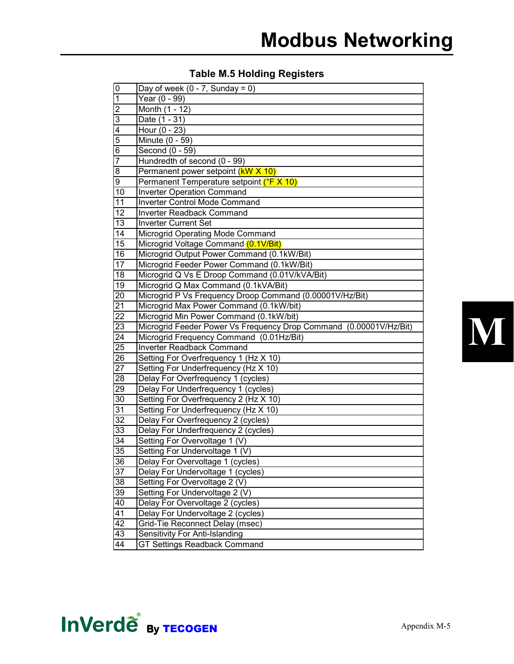#### Table M.5 Holding Registers

| $\pmb{0}$       | Day of week $(0 - 7,$ Sunday = 0)                                  |
|-----------------|--------------------------------------------------------------------|
| $\mathbf 1$     | Year (0 - 99)                                                      |
| $\overline{2}$  | Month (1 - 12)                                                     |
| $\overline{3}$  | Date $(1 - 31)$                                                    |
| $\overline{4}$  | Hour (0 - 23)                                                      |
| $\overline{5}$  | Minute $(0 - 59)$                                                  |
| $\overline{6}$  | Second (0 - 59)                                                    |
| 7               | Hundredth of second (0 - 99)                                       |
| 8               | Permanent power setpoint ( <b>kW X 10)</b>                         |
| $\overline{9}$  | Permanent Temperature setpoint (°F X 10)                           |
| 10              | <b>Inverter Operation Command</b>                                  |
| 11              | Inverter Control Mode Command                                      |
| 12              | Inverter Readback Command                                          |
| 13              | <b>Inverter Current Set</b>                                        |
| 14              | Microgrid Operating Mode Command                                   |
| 15              | Microgrid Voltage Command (0.1V/Bit)                               |
| 16              | Microgrid Output Power Command (0.1kW/Bit)                         |
| 17              | Microgrid Feeder Power Command (0.1kW/Bit)                         |
| 18              | Microgrid Q Vs E Droop Command (0.01V/kVA/Bit)                     |
| 19              | Microgrid Q Max Command (0.1kVA/Bit)                               |
| 20              | Microgrid P Vs Frequency Droop Command (0.00001V/Hz/Bit)           |
| $\overline{21}$ | Microgrid Max Power Command (0.1kW/bit)                            |
| $\overline{22}$ | Microgrid Min Power Command (0.1kW/bit)                            |
| 23              | Microgrid Feeder Power Vs Frequency Drop Command (0.00001V/Hz/Bit) |
| 24              | Microgrid Frequency Command (0.01Hz/Bit)                           |
| 25              | Inverter Readback Command                                          |
| 26              | Setting For Overfrequency 1 (Hz X 10)                              |
| 27              | Setting For Underfrequency (Hz X 10)                               |
| $\overline{28}$ | Delay For Overfrequency 1 (cycles)                                 |
| $\overline{29}$ | Delay For Underfrequency 1 (cycles)                                |
| $\overline{30}$ | Setting For Overfrequency 2 (Hz X 10)                              |
| $\overline{31}$ | Setting For Underfrequency (Hz X 10)                               |
| $\overline{32}$ | Delay For Overfrequency 2 (cycles)                                 |
| 33              | Delay For Underfrequency 2 (cycles)                                |
| 34              | Setting For Overvoltage 1 (V)                                      |
| $\overline{35}$ | Setting For Undervoltage 1 (V)                                     |
| 36              | Delay For Overvoltage 1 (cycles)                                   |
| $\overline{37}$ | Delay For Undervoltage 1 (cycles)                                  |
| 38              | Setting For Overvoltage 2 (V)                                      |
| 39              | Setting For Undervoltage 2 (V)                                     |
| 40              | Delay For Overvoltage 2 (cycles)                                   |
| 41              | Delay For Undervoltage 2 (cycles)                                  |
| 42              | Grid-Tie Reconnect Delay (msec)                                    |
| 43              | Sensitivity For Anti-Islanding                                     |
| 44              | <b>GT Settings Readback Command</b>                                |



## **InVerde** By TECOGEN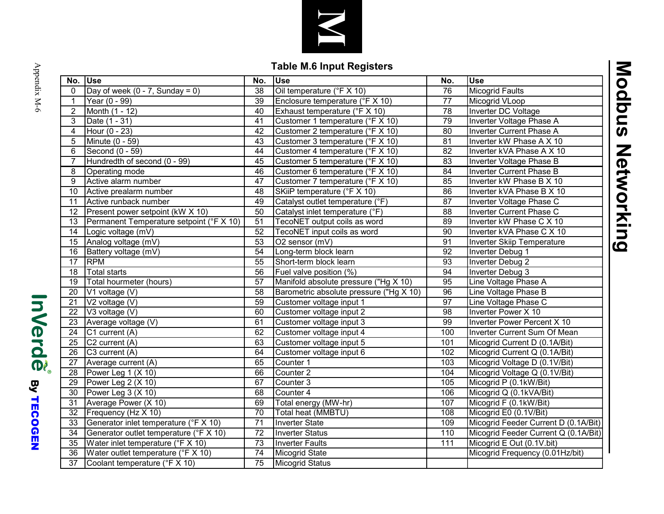

### Table M.6 Input Registers

| No.             | <b>Use</b>                               | No.             | <b>Use</b>                              | No.             | <b>Use</b>                           |  |
|-----------------|------------------------------------------|-----------------|-----------------------------------------|-----------------|--------------------------------------|--|
| $\mathbf{0}$    | Day of week (0 - 7, Sunday = 0)          | $\overline{38}$ | Oil temperature (°F X 10)               | $\overline{76}$ | <b>Micogrid Faults</b>               |  |
| 1               | Year (0 - 99)                            | 39              | Enclosure temperature (°F X 10)         | $\overline{77}$ | Micogrid VLoop                       |  |
| $\overline{2}$  | Month (1 - 12)                           | 40              | Exhaust temperature (°F X 10)           | 78              | Inverter DC Voltage                  |  |
| 3               | Date (1 - 31)                            | 41              | Customer 1 temperature (°F X 10)        | 79              | Inverter Voltage Phase A             |  |
| 4               | Hour (0 - 23)                            | 42              | Customer 2 temperature (°F X 10)        | 80              | Inverter Current Phase A             |  |
| 5               | Minute (0 - 59)                          | $\overline{43}$ | Customer 3 temperature (°F X 10)        | 81              | Inverter kW Phase A X 10             |  |
| 6               | Second (0 - 59)                          | 44              | Customer 4 temperature (°F X 10)        | 82              | Inverter kVA Phase A X 10            |  |
| $\overline{7}$  | Hundredth of second (0 - 99)             | 45              | Customer 5 temperature (°F X 10)        | 83              | Inverter Voltage Phase B             |  |
| 8               | Operating mode                           | 46              | Customer 6 temperature (°F X 10)        | 84              | Inverter Current Phase B             |  |
| 9               | Active alarm number                      | 47              | Customer 7 temperature (°F X 10)        | 85              | Inverter kW Phase B X 10             |  |
| 10              | Active prealarm number                   | 48              | SKiiP temperature (°F X 10)             | 86              | Inverter kVA Phase B X 10            |  |
| $\overline{11}$ | Active runback number                    | 49              | Catalyst outlet temperature (°F)        | 87              | Inverter Voltage Phase C             |  |
| 12              | Present power setpoint (kW X 10)         | $\overline{50}$ | Catalyst inlet temperature (°F)         | $\overline{88}$ | <b>Inverter Current Phase C</b>      |  |
| 13              | Permanent Temperature setpoint (°F X 10) | 51              | TecoNET output coils as word            | 89              | Inverter kW Phase C X 10             |  |
| $\overline{14}$ | Logic voltage (mV)                       | 52              | TecoNET input coils as word             | 90              | Inverter kVA Phase C X 10            |  |
| 15              | Analog voltage (mV)                      | $\overline{53}$ | O2 sensor (mV)                          | 91              | Inverter Skiip Temperature           |  |
| 16              | Battery voltage (mV)                     | $\overline{54}$ | Long-term block learn                   | $\overline{92}$ | Inverter Debug 1                     |  |
| 17              | <b>RPM</b>                               | 55              | Short-term block learn                  | 93              | Inverter Debug 2                     |  |
| 18              | <b>Total starts</b>                      | 56              | Fuel valve position (%)                 | 94              | Inverter Debug 3                     |  |
| 19              | Total hourmeter (hours)                  | $\overline{57}$ | Manifold absolute pressure ("Hg X 10)   | 95              | Line Voltage Phase A                 |  |
| 20              | V1 voltage (V)                           | 58              | Barometric absolute pressure ("Hg X 10) | 96              | Line Voltage Phase B                 |  |
| $\overline{21}$ | V2 voltage (V)                           | 59              | Customer voltage input 1                | 97              | Line Voltage Phase C                 |  |
| 22              | V3 voltage (V)                           | 60              | Customer voltage input 2                | 98              | Inverter Power X 10                  |  |
| 23              | Average voltage (V)                      | 61              | Customer voltage input 3                | 99              | <b>Inverter Power Percent X 10</b>   |  |
| $\overline{24}$ | C1 current (A)                           | 62              | Customer voltage input 4                | 100             | Inverter Current Sum Of Mean         |  |
| $\overline{25}$ | C2 current (A)                           | 63              | Customer voltage input 5                | 101             | Micogrid Current D (0.1A/Bit)        |  |
| 26              | C3 current (A)                           | 64              | Customer voltage input 6                | 102             | Micogrid Current Q (0.1A/Bit)        |  |
| 27              | Average current (A)                      | 65              | Counter 1                               | 103             | Micogrid Voltage D (0.1V/Bit)        |  |
| 28              | Power Leg 1 (X 10)                       | 66              | Counter <sub>2</sub>                    | 104             | Micogrid Voltage Q (0.1V/Bit)        |  |
| 29              | Power Leg 2 (X 10)                       | 67              | Counter 3                               | 105             | Micogrid P (0.1kW/Bit)               |  |
| 30              | Power Leg 3 (X 10)                       | 68              | Counter 4                               | 106             | Micogrid Q (0.1kVA/Bit)              |  |
| 31              | Average Power (X 10)                     | 69              | Total energy (MW-hr)                    | 107             | Micogrid F (0.1kW/Bit)               |  |
| 32              | Frequency (Hz X 10)                      | $\overline{70}$ | Total heat (MMBTU)                      | 108             | Micogrid E0 (0.1V/Bit)               |  |
| 33              | Generator inlet temperature (°F X 10)    | $\overline{71}$ | <b>Inverter State</b>                   | 109             | Micogrid Feeder Current D (0.1A/Bit) |  |
| 34              | Generator outlet temperature (°F X 10)   | $\overline{72}$ | <b>Inverter Status</b>                  | 110             | Micogrid Feeder Current Q (0.1A/Bit) |  |
| 35              | Water inlet temperature (°F X 10)        | $\overline{73}$ | <b>Inverter Faults</b>                  | 111             | Micogrid E Out (0.1V.bit)            |  |
| 36              | Water outlet temperature (°F X 10)       | 74              | Micogrid State                          |                 | Micogrid Frequency (0.01Hz/bit)      |  |
| $\overline{37}$ | Coolant temperature (°F X 10)            | 75              | <b>Micogrid Status</b>                  |                 |                                      |  |
|                 |                                          |                 |                                         |                 |                                      |  |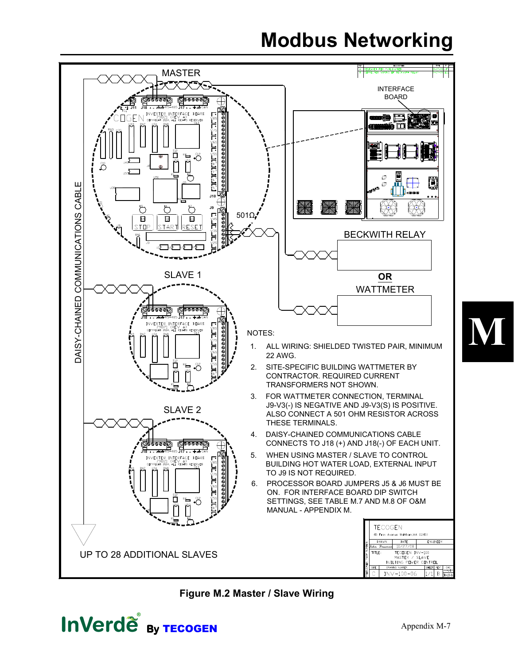## Modbus Networking



Figure M.2 Master / Slave Wiring

**InVerde** By TECOGEN

M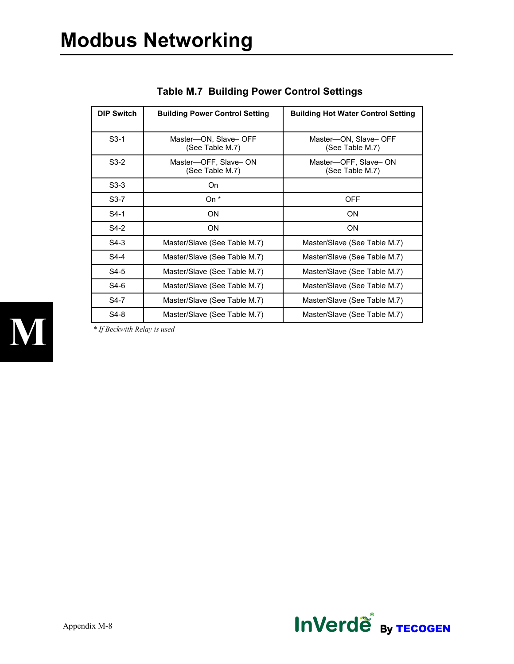| <b>DIP Switch</b> | <b>Building Power Control Setting</b>   | <b>Building Hot Water Control Setting</b> |  |  |
|-------------------|-----------------------------------------|-------------------------------------------|--|--|
| $S3-1$            | Master-ON, Slave-OFF<br>(See Table M.7) | Master-ON, Slave- OFF<br>(See Table M.7)  |  |  |
| $S3-2$            | Master-OFF, Slave-ON<br>(See Table M.7) | Master-OFF, Slave-ON<br>(See Table M.7)   |  |  |
| $S3-3$            | On.                                     |                                           |  |  |
| $S3-7$            | On *                                    | OFF                                       |  |  |
| $S4-1$            | <b>ON</b>                               | ΟN                                        |  |  |
| $S4-2$            | <b>ON</b>                               | <b>ON</b>                                 |  |  |
| $S4-3$            | Master/Slave (See Table M.7)            | Master/Slave (See Table M.7)              |  |  |
| $S4-4$            | Master/Slave (See Table M.7)            | Master/Slave (See Table M.7)              |  |  |
| $S4-5$            | Master/Slave (See Table M.7)            | Master/Slave (See Table M.7)              |  |  |
| S4-6              | Master/Slave (See Table M.7)            | Master/Slave (See Table M.7)              |  |  |
| S4-7              | Master/Slave (See Table M.7)            | Master/Slave (See Table M.7)              |  |  |
| S4-8              | Master/Slave (See Table M.7)            | Master/Slave (See Table M.7)              |  |  |

Table M.7 Building Power Control Settings



\* If Beckwith Relay is used